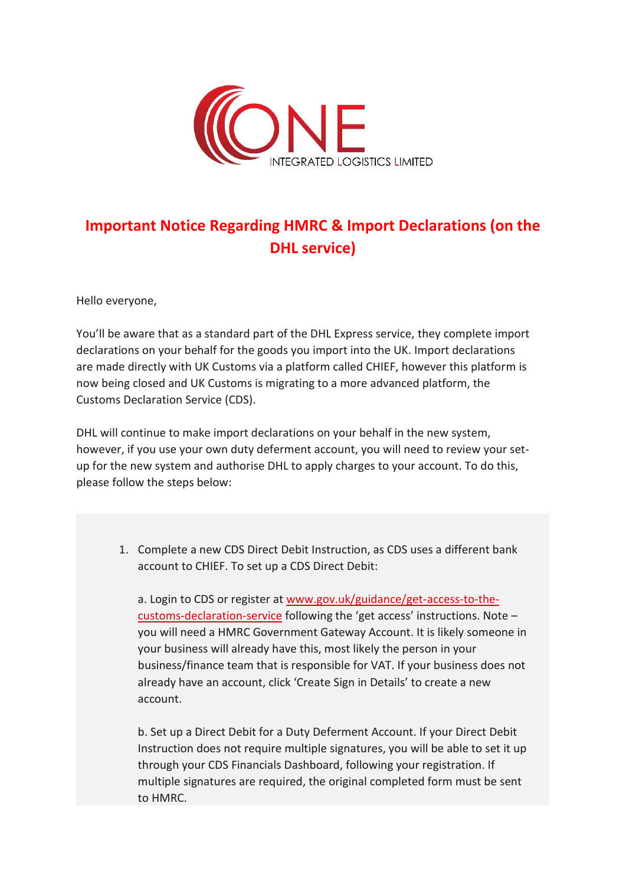

## **Important Notice Regarding HMRC & Import Declarations (on the DHL service)**

Hello everyone,

You'll be aware that as a standard part of the DHL Express service, they complete import declarations on your behalf for the goods you import into the UK. Import declarations are made directly with UK Customs via a platform called CHIEF, however this platform is now being closed and UK Customs is migrating to a more advanced platform, the Customs Declaration Service (CDS).

DHL will continue to make import declarations on your behalf in the new system, however, if you use your own duty deferment account, you will need to review your setup for the new system and authorise DHL to apply charges to your account. To do this, please follow the steps below:

1. Complete a new CDS Direct Debit Instruction, as CDS uses a different bank account to CHIEF. To set up a CDS Direct Debit:

a. Login to CDS or register at [www.gov.uk/guidance/get-access-to-the](http://www.gov.uk/guidance/get-access-to-the-customs-declaration-service)[customs-declaration-service](http://www.gov.uk/guidance/get-access-to-the-customs-declaration-service) following the 'get access' instructions. Note – you will need a HMRC Government Gateway Account. It is likely someone in your business will already have this, most likely the person in your business/finance team that is responsible for VAT. If your business does not already have an account, click 'Create Sign in Details' to create a new account.

b. Set up a Direct Debit for a Duty Deferment Account. If your Direct Debit Instruction does not require multiple signatures, you will be able to set it up through your CDS Financials Dashboard, following your registration. If multiple signatures are required, the original completed form must be sent to HMRC.